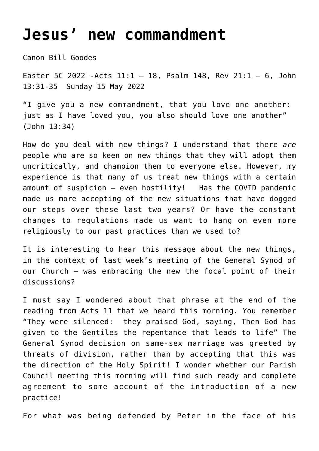## **[Jesus' new commandment](https://stjohnsadelaide.org.au/jesus-gives-us-a-new-commandment/)**

Canon Bill Goodes

Easter 5C 2022 - Acts  $11:1 - 18$ , Psalm 148, Rev 21:1 - 6, John 13:31-35 Sunday 15 May 2022

"I give you a new commandment, that you love one another: just as I have loved you, you also should love one another" (John 13:34)

How do you deal with new things? I understand that there *are* people who are so keen on new things that they will adopt them uncritically, and champion them to everyone else. However, my experience is that many of us treat new things with a certain amount of suspicion — even hostility! Has the COVID pandemic made us more accepting of the new situations that have dogged our steps over these last two years? Or have the constant changes to regulations made us want to hang on even more religiously to our past practices than we used to?

It is interesting to hear this message about the new things, in the context of last week's meeting of the General Synod of our Church — was embracing the new the focal point of their discussions?

I must say I wondered about that phrase at the end of the reading from Acts 11 that we heard this morning. You remember "They were silenced: they praised God, saying, Then God has given to the Gentiles the repentance that leads to life" The General Synod decision on same-sex marriage was greeted by threats of division, rather than by accepting that this was the direction of the Holy Spirit! I wonder whether our Parish Council meeting this morning will find such ready and complete agreement to some account of the introduction of a new practice!

For what was being defended by Peter in the face of his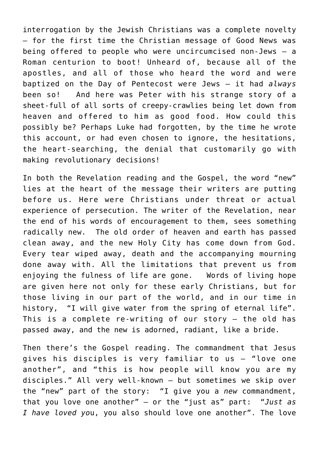interrogation by the Jewish Christians was a complete novelty — for the first time the Christian message of Good News was being offered to people who were uncircumcised non-Jews — a Roman centurion to boot! Unheard of, because all of the apostles, and all of those who heard the word and were baptized on the Day of Pentecost were Jews — it had *always* been so! And here was Peter with his strange story of a sheet-full of all sorts of creepy-crawlies being let down from heaven and offered to him as good food. How could this possibly be? Perhaps Luke had forgotten, by the time he wrote this account, or had even chosen to ignore, the hesitations, the heart-searching, the denial that customarily go with making revolutionary decisions!

In both the Revelation reading and the Gospel, the word "new" lies at the heart of the message their writers are putting before us. Here were Christians under threat or actual experience of persecution. The writer of the Revelation, near the end of his words of encouragement to them, sees something radically new. The old order of heaven and earth has passed clean away, and the new Holy City has come down from God. Every tear wiped away, death and the accompanying mourning done away with. All the limitations that prevent us from enjoying the fulness of life are gone. Words of living hope are given here not only for these early Christians, but for those living in our part of the world, and in our time in history, "I will give water from the spring of eternal life". This is a complete re-writing of our story — the old has passed away, and the new is adorned, radiant, like a bride.

Then there's the Gospel reading. The commandment that Jesus gives his disciples is very familiar to us — "love one another", and "this is how people will know you are my disciples." All very well-known — but sometimes we skip over the "new" part of the story: "I give you a *new* commandment, that you love one another" — or the "just as" part: "*Just as I have loved yo*u, you also should love one another". The love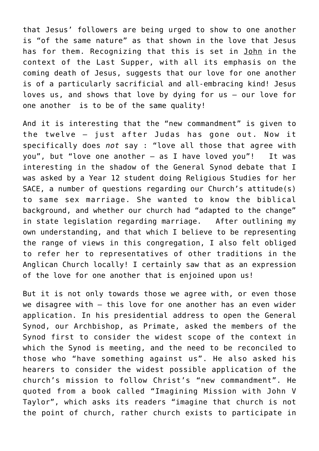that Jesus' followers are being urged to show to one another is "of the same nature" as that shown in the love that Jesus has for them. Recognizing that this is set in John in the context of the Last Supper, with all its emphasis on the coming death of Jesus, suggests that our love for one another is of a particularly sacrificial and all-embracing kind! Jesus loves us, and shows that love by dying for us — our love for one another is to be of the same quality!

And it is interesting that the "new commandment" is given to the twelve — just after Judas has gone out. Now it specifically does *not* say : "love all those that agree with you", but "love one another — as I have loved you"! It was interesting in the shadow of the General Synod debate that I was asked by a Year 12 student doing Religious Studies for her SACE, a number of questions regarding our Church's attitude(s) to same sex marriage. She wanted to know the biblical background, and whether our church had "adapted to the change" in state legislation regarding marriage. After outlining my own understanding, and that which I believe to be representing the range of views in this congregation, I also felt obliged to refer her to representatives of other traditions in the Anglican Church locally! I certainly saw that as an expression of the love for one another that is enjoined upon us!

But it is not only towards those we agree with, or even those we disagree with — this love for one another has an even wider application. In his presidential address to open the General Synod, our Archbishop, as Primate, asked the members of the Synod first to consider the widest scope of the context in which the Synod is meeting, and the need to be reconciled to those who "have something against us". He also asked his hearers to consider the widest possible application of the church's mission to follow Christ's "new commandment". He quoted from a book called "Imagining Mission with John V Taylor", which asks its readers "imagine that church is not the point of church, rather church exists to participate in